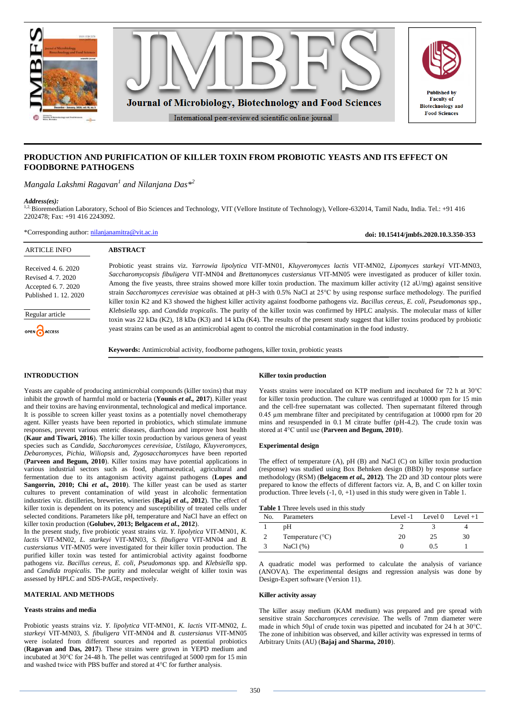

# **PRODUCTION AND PURIFICATION OF KILLER TOXIN FROM PROBIOTIC YEASTS AND ITS EFFECT ON FOODBORNE PATHOGENS**

*Mangala Lakshmi Ragavan<sup>1</sup> and Nilanjana Das\*<sup>2</sup>*

#### *Address(es):*

1,2, Bioremediation Laboratory, School of Bio Sciences and Technology, VIT (Vellore Institute of Technology), Vellore-632014, Tamil Nadu, India. Tel.: +91 416 2202478; Fax: +91 416 2243092.

\*Corresponding author: [nilanjanamitra@vit.ac.in](mailto:nilanjanamitra@vit.ac.in)

**doi: 10.15414/jmbfs.2020.10.3.350-353**

**Dublished** by **Faculty** of

| <b>ARTICLE INFO</b>                                                                     | <b>ABSTRACT</b>                                                                                                                                                                                                                                                                                                                                                                                                                                                                                                                                                                                                                                                                    |
|-----------------------------------------------------------------------------------------|------------------------------------------------------------------------------------------------------------------------------------------------------------------------------------------------------------------------------------------------------------------------------------------------------------------------------------------------------------------------------------------------------------------------------------------------------------------------------------------------------------------------------------------------------------------------------------------------------------------------------------------------------------------------------------|
| Received 4, 6, 2020<br>Revised 4, 7, 2020<br>Accepted 6.7.2020<br>Published 1, 12, 2020 | Probiotic yeast strains viz. Yarrowia lipolytica VIT-MN01, Kluyveromyces lactis VIT-MN02, Lipomyces starkeyi VIT-MN03,<br>Saccharomycopsis fibuligera VIT-MN04 and Brettanomyces custersianus VIT-MN05 were investigated as producer of killer toxin.<br>Among the five yeasts, three strains showed more killer toxin production. The maximum killer activity $(12 \text{ aU/mg})$ against sensitive<br>strain Saccharomyces cerevisiae was obtained at pH-3 with 0.5% NaCl at 25°C by using response surface methodology. The purified<br>killer toxin K2 and K3 showed the highest killer activity against foodborne pathogens viz. Bacillus cereus, E. coli, Pseudomonas spp., |
| Regular article                                                                         | Klebsiella spp. and Candida tropicalis. The purity of the killer toxin was confirmed by HPLC analysis. The molecular mass of killer<br>toxin was 22 kDa (K2), 18 kDa (K3) and 14 kDa (K4). The results of the present study suggest that killer toxins produced by probiotic                                                                                                                                                                                                                                                                                                                                                                                                       |
| OPEN CACCESS                                                                            | yeast strains can be used as an antimicrobial agent to control the microbial contamination in the food industry.                                                                                                                                                                                                                                                                                                                                                                                                                                                                                                                                                                   |
|                                                                                         | <b>Keywords:</b> Antimicrobial activity, foodborne pathogens, killer toxin, probiotic yeasts                                                                                                                                                                                                                                                                                                                                                                                                                                                                                                                                                                                       |

## **INTRODUCTION**

Yeasts are capable of producing antimicrobial compounds (killer toxins) that may inhibit the growth of harmful mold or bacteria (**Younis** *et al.,* **2017**). Killer yeast and their toxins are having environmental, technological and medical importance. It is possible to screen killer yeast toxins as a potentially novel chemotherapy agent. Killer yeasts have been reported in probiotics, which stimulate immune responses, prevent various enteric diseases, diarrhoea and improve host health (**Kaur and Tiwari, 2016**). The killer toxin production by various genera of yeast species such as C*andida, Saccharomyces cerevisiae, Ustilago, Kluyveromyces, Debaromyces, Pichia, Wiliopsis* and, *Zygosaccharomyces* have been reported (**Parveen and Begum, 2010**). Killer toxins may have potential applications in various industrial sectors such as food, pharmaceutical, agricultural and fermentation due to its antagonism activity against pathogens (**Lopes and**  Sangorrin, 2010; Chi *et al.*, 2010). The killer yeast can be used as starter cultures to prevent contamination of wild yeast in alcoholic fermentation industries viz. distilleries, breweries, wineries (**Bajaj** *et al.,* **2012**). The effect of killer toxin is dependent on its potency and susceptibility of treated cells under selected conditions. Parameters like pH, temperature and NaCl have an effect on killer toxin production (**Golubev, 2013; Belgacem** *et al.,* **2012**).

In the present study, five probiotic yeast strains viz. *Y. lipolytica* VIT-MN01, *K. lactis* VIT-MN02, *L. starkeyi* VIT-MN03, *S. fibuligera* VIT-MN04 and *B. custersianus* VIT-MN05 were investigated for their killer toxin production. The purified killer toxin was tested for antimicrobial activity against foodborne pathogens viz. *Bacillus cereus*, *E. coli, Pseudomonas* spp. and *Klebsiella* spp. and *Candida tropicalis.* The purity and molecular weight of killer toxin was assessed by HPLC and SDS-PAGE, respectively.

## **MATERIAL AND METHODS**

### **Yeasts strains and media**

Probiotic yeasts strains viz. *Y. lipolytica* VIT-MN01, *K. lactis* VIT-MN02, *L. starkeyi* VIT-MN03, *S. fibuligera* VIT-MN04 and *B. custersianus* VIT-MN05 were isolated from different sources and reported as potential probiotics (**Ragavan and Das, 2017**). These strains were grown in YEPD medium and incubated at 30°C for 24-48 h. The pellet was centrifuged at 5000 rpm for 15 min and washed twice with PBS buffer and stored at 4°C for further analysis.

## **Killer toxin production**

Yeasts strains were inoculated on KTP medium and incubated for 72 h at 30°C for killer toxin production. The culture was centrifuged at 10000 rpm for 15 min and the cell-free supernatant was collected. Then supernatant filtered through 0.45 µm membrane filter and precipitated by centrifugation at 10000 rpm for 20 mins and resuspended in 0.1 M citrate buffer (pH-4.2). The crude toxin was stored at 4°C until use (**Parveen and Begum, 2010**).

## **Experimental design**

The effect of temperature (A), pH (B) and NaCl (C) on killer toxin production (response) was studied using Box Behnken design (BBD) by response surface methodology (RSM) (**Belgacem** *et al.,* **2012)**. The 2D and 3D contour plots were prepared to know the effects of different factors viz. A, B, and C on killer toxin production. Three levels  $(-1, 0, +1)$  used in this study were given in Table 1.

**Table 1** Three levels used in this study

| No. | Parameters                |    | Level -1 Level 0 | Level $+1$ |
|-----|---------------------------|----|------------------|------------|
|     | pΗ                        |    |                  |            |
|     | Temperature $(^{\circ}C)$ | 20 | 25               | 30         |
|     | NaCl(%)                   |    | 0.5              |            |

A quadratic model was performed to calculate the analysis of variance (ANOVA). The experimental designs and regression analysis was done by Design-Expert software (Version 11).

## **Killer activity assay**

The killer assay medium (KAM medium) was prepared and pre spread with sensitive strain *Saccharomyces cerevisiae.* The wells of 7mm diameter were made in which 50µl of crude toxin was pipetted and incubated for 24 h at 30°C. The zone of inhibition was observed, and killer activity was expressed in terms of Arbitrary Units (AU) (**Bajaj and Sharma, 2010**).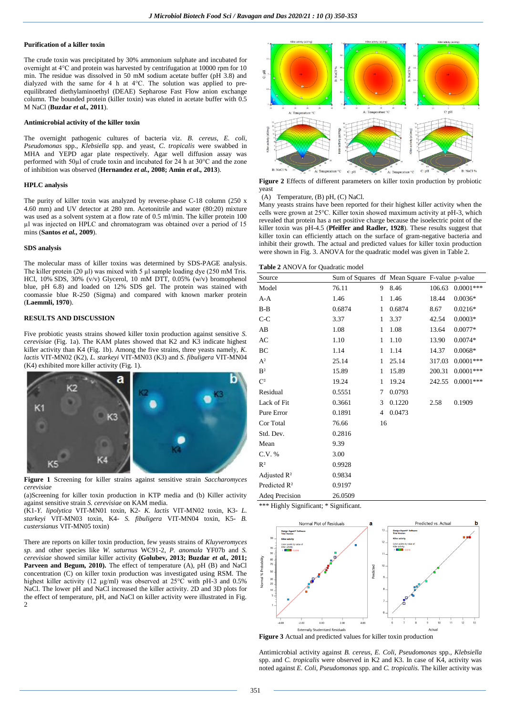#### **Purification of a killer toxin**

The crude toxin was precipitated by 30% ammonium sulphate and incubated for overnight at 4°C and protein was harvested by centrifugation at 10000 rpm for 10 min. The residue was dissolved in 50 mM sodium acetate buffer (pH 3.8) and dialyzed with the same for 4 h at 4°C. The solution was applied to preequilibrated diethylaminoethyl (DEAE) Sepharose Fast Flow anion exchange column. The bounded protein (killer toxin) was eluted in acetate buffer with 0.5 M NaCl (**Buzdar** *et al.,* **2011**).

#### **Antimicrobial activity of the killer toxin**

The overnight pathogenic cultures of bacteria viz. *B. cereus*, *E. coli, Pseudomonas* spp., *Klebsiella* spp. and yeast, *C. tropicalis* were swabbed in MHA and YEPD agar plate respectively. Agar well diffusion assay was performed with 50µl of crude toxin and incubated for 24 h at 30°C and the zone of inhibition was observed (**Hernandez** *et al.,* **2008; Amin** *et al.,* **2013**).

#### **HPLC analysis**

The purity of killer toxin was analyzed by reverse-phase C-18 column (250 x 4.60 mm) and UV detector at 280 nm. Acetonitrile and water (80:20) mixture was used as a solvent system at a flow rate of 0.5 ml/min. The killer protein 100 µl was injected on HPLC and chromatogram was obtained over a period of 15 mins (**Santos** *et al.,* **2009**).

### **SDS analysis**

The molecular mass of killer toxins was determined by SDS-PAGE analysis. The killer protein  $(20 \mu l)$  was mixed with 5  $\mu l$  sample loading dye  $(250 \text{ mM Tris.})$ HCl,  $10\%$  SDS,  $30\%$  (v/v) Glycerol, 10 mM DTT,  $0.05\%$  (w/v) bromophenol blue, pH 6.8) and loaded on 12% SDS gel. The protein was stained with coomassie blue R-250 (Sigma) and compared with known marker protein (**Laemmli, 1970**).

#### **RESULTS AND DISCUSSION**

Five probiotic yeasts strains showed killer toxin production against sensitive *S. cerevisiae* (Fig. 1a). The KAM plates showed that K2 and K3 indicate highest killer activity than K4 (Fig. 1b). Among the five strains, three yeasts namely, *K. lactis* VIT-MN02 (K2), *L. starkeyi* VIT-MN03 (K3) and *S. fibuligera* VIT-MN04 (K4) exhibited more killer activity (Fig. 1).



**Figure 1** Screening for killer strains against sensitive strain *Saccharomyces cerevisiae*

(a)Screening for killer toxin production in KTP media and (b) Killer activity against sensitive strain *S. cerevisiae* on KAM media.

(K1-*Y. lipolytica* VIT-MN01 toxin, K2- *K. lactis* VIT-MN02 toxin, K3- *L. starkeyi* VIT-MN03 toxin, K4- *S. fibuligera* VIT-MN04 toxin, K5- *B. custersianus* VIT-MN05 toxin)

There are reports on killer toxin production, few yeasts strains of *Kluyveromyces sp.* and other species like *W. saturnus* WC91-2*, P. anomala* YF07b and *S. cerevisiae* showed similar killer activity **(Golubev, 2013; Buzdar** *et al.,* **2011; Parveen and Begum, 2010).** The effect of temperature (A), pH (B) and NaCl concentration (C) on killer toxin production was investigated using RSM. The highest killer activity (12 µg/ml) was observed at 25°C with pH-3 and 0.5% NaCl. The lower pH and NaCl increased the killer activity. 2D and 3D plots for the effect of temperature, pH, and NaCl on killer activity were illustrated in Fig.  $\overline{2}$ 



**Figure 2** Effects of different parameters on killer toxin production by probiotic yeast

(A) Temperature, (B) pH, (C) NaCl.

Many yeasts strains have been reported for their highest killer activity when the cells were grown at 25°C. Killer toxin showed maximum activity at pH-3, which revealed that protein has a net positive charge because the isoelectric point of the killer toxin was pH-4.5 (**Pfeiffer and Radler, 1928**). These results suggest that killer toxin can efficiently attach on the surface of gram-negative bacteria and inhibit their growth. The actual and predicted values for killer toxin production were shown in Fig. 3. ANOVA for the quadratic model was given in Table 2.

**Table 2** ANOVA for Quadratic model

| Source                   | Sum of Squares df Mean Square F-value p-value |    |        |        |             |
|--------------------------|-----------------------------------------------|----|--------|--------|-------------|
| Model                    | 76.11                                         | 9  | 8.46   | 106.63 | $0.0001***$ |
| $A-A$                    | 1.46                                          | 1  | 1.46   | 18.44  | $0.0036*$   |
| $B-B$                    | 0.6874                                        | 1  | 0.6874 | 8.67   | $0.0216*$   |
| $C-C$                    | 3.37                                          | 1  | 3.37   | 42.54  | $0.0003*$   |
| AB                       | 1.08                                          | 1  | 1.08   | 13.64  | $0.0077*$   |
| AC                       | 1.10                                          | 1  | 1.10   | 13.90  | $0.0074*$   |
| BC                       | 1.14                                          | 1  | 1.14   | 14.37  | $0.0068*$   |
| A <sup>2</sup>           | 25.14                                         | 1  | 25.14  | 317.03 | $0.0001***$ |
| B <sup>2</sup>           | 15.89                                         | 1  | 15.89  | 200.31 | $0.0001***$ |
| C <sup>2</sup>           | 19.24                                         | 1  | 19.24  | 242.55 | $0.0001***$ |
| Residual                 | 0.5551                                        | 7  | 0.0793 |        |             |
| Lack of Fit              | 0.3661                                        | 3  | 0.1220 | 2.58   | 0.1909      |
| Pure Error               | 0.1891                                        | 4  | 0.0473 |        |             |
| Cor Total                | 76.66                                         | 16 |        |        |             |
| Std. Dev.                | 0.2816                                        |    |        |        |             |
| Mean                     | 9.39                                          |    |        |        |             |
| C.V. %                   | 3.00                                          |    |        |        |             |
| $R^2$                    | 0.9928                                        |    |        |        |             |
| Adjusted $\mathbb{R}^2$  | 0.9834                                        |    |        |        |             |
| Predicted R <sup>2</sup> | 0.9197                                        |    |        |        |             |
| Adeq Precision           | 26.0509                                       |    |        |        |             |

\*\*\* Highly Significant; \* Significant.



**Figure 3** Actual and predicted values for killer toxin production

Antimicrobial activity against *B. cereus, E. Coli, Pseudomonas* spp., *Klebsiella*  spp. and *C. tropicalis* were observed in K2 and K3. In case of K4, activity was noted against *E. Coli, Pseudomonas* spp. and *C. tropicalis.* The killer activity was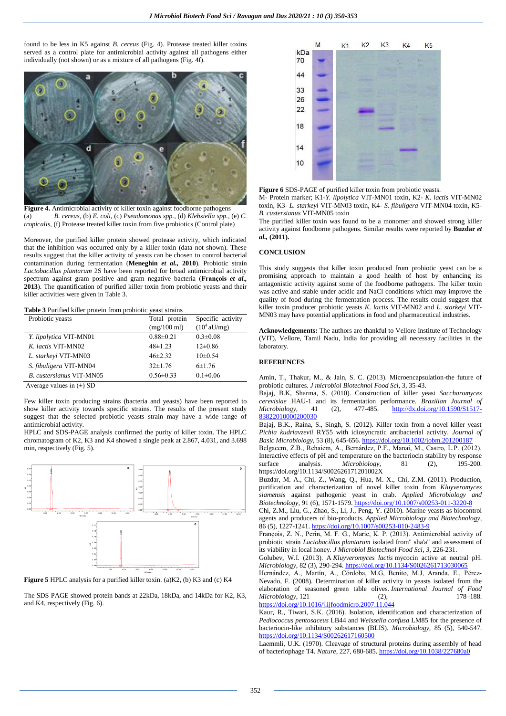found to be less in K5 against *B. cereus* (Fig. 4)*.* Protease treated killer toxins served as a control plate for antimicrobial activity against all pathogens either individually (not shown) or as a mixture of all pathogens (Fig. 4f).



**Figure 4.** Antimicrobial activity of killer toxin against foodborne pathogens (a) *B. cereus,* (b) *E. coli,* (c) *Pseudomonas spp.,* (d) *Klebsiella spp.,* (e) *C. tropicalis,* (f) Protease treated killer toxin from five probiotics (Control plate)

Moreover, the purified killer protein showed protease activity, which indicated that the inhibition was occurred only by a killer toxin (data not shown). These results suggest that the killer activity of yeasts can be chosen to control bacterial contamination during fermentation (**Meneghin** *et al.,* **2010**). Probiotic strain *Lactobacillus plantarum* 2S have been reported for broad antimicrobial activity spectrum against gram positive and gram negative bacteria (**François** *et al.,* **2013**). The quantification of purified killer toxin from probiotic yeasts and their killer activities were given in Table 3.

**Table 3** Purified killer protein from probiotic yeast strains

| Probiotic yeasts                | Total protein         | Specific activity     |  |
|---------------------------------|-----------------------|-----------------------|--|
|                                 | $(mg/100 \text{ ml})$ | $(10^4 \text{aU/mg})$ |  |
| Y. lipolytica VIT-MN01          | $0.88 \pm 0.21$       | $0.3 \pm 0.08$        |  |
| K. lactis VIT-MN02              | $48 \pm 1.23$         | $12\pm0.86$           |  |
| L. starkevi VIT-MN03            | $46\pm2.32$           | $10\pm 0.54$          |  |
| S. fibuligera VIT-MN04          | $32\pm1.76$           | $6 \pm 1.76$          |  |
| <b>B.</b> custersianus VIT-MN05 | $0.56 \pm 0.33$       | $0.1 \pm 0.06$        |  |

Average values in  $(\pm)$  SD

Few killer toxin producing strains (bacteria and yeasts) have been reported to show killer activity towards specific strains. The results of the present study suggest that the selected probiotic yeasts strain may have a wide range of antimicrobial activity.

HPLC and SDS-PAGE analysis confirmed the purity of killer toxin. The HPLC chromatogram of K2, K3 and K4 showed a single peak at 2.867, 4.031, and 3.698 min, respectively (Fig. 5).



**Figure 5** HPLC analysis for a purified killer toxin. (a)K2, (b) K3 and (c) K4

The SDS PAGE showed protein bands at 22kDa, 18kDa, and 14kDa for K2, K3, and K4, respectively (Fig. 6).



**Figure 6** SDS-PAGE of purified killer toxin from probiotic yeasts.

M- Protein marker; K1-*Y. lipolytica* VIT-MN01 toxin, K2- *K. lactis* VIT-MN02 toxin, K3- *L. starkeyi* VIT-MN03 toxin, K4- *S. fibuligera* VIT-MN04 toxin, K5- *B. custersianus* VIT-MN05 toxin

The purified killer toxin was found to be a monomer and showed strong killer activity against foodborne pathogens. Similar results were reported by **Buzdar** *et al.,* **(2011).**

#### **CONCLUSION**

This study suggests that killer toxin produced from probiotic yeast can be a promising approach to maintain a good health of host by enhancing its antagonistic activity against some of the foodborne pathogens. The killer toxin was active and stable under acidic and NaCl conditions which may improve the quality of food during the fermentation process. The results could suggest that killer toxin producer probiotic yeasts *K. lactis* VIT-MN02 and *L. starkeyi* VIT-MN03 may have potential applications in food and pharmaceutical industries.

**Acknowledgements:** The authors are thankful to Vellore Institute of Technology (VIT), Vellore, Tamil Nadu, India for providing all necessary facilities in the laboratory.

#### **REFERENCES**

Amin, T., Thakur, M., & Jain, S. C. (2013). Microencapsulation-the future of probiotic cultures. *J microbiol Biotechnol Food Sci,* 3, 35-43.

Bajaj, B.K, Sharma, S. (2010). Construction of killer yeast *Saccharomyces cerevisiae* HAU-1 and its fermentation performance. *Brazilian Journal of Microbiology,* 41 (2), 477-485. [http://dx.doi.org/10.1590/S1517-](http://dx.doi.org/10.1590/S1517-83822010000200030) [83822010000200030](http://dx.doi.org/10.1590/S1517-83822010000200030)

Bajaj, B.K., Raina, S., Singh, S. (2012). Killer toxin from a novel killer yeast *Pichia kudriavzevii* RY55 with idiosyncratic antibacterial activity. *Journal of Basic Microbiology,* 53 (8), 645-656[. https://doi.org/10.1002/jobm.201200187](https://doi.org/10.1002/jobm.201200187)

Belgacem, Z.B., Rehaiem, A., Bernárdez, P.F., Manai, M., Castro, L.P. (2012). Interactive effects of pH and temperature on the bacteriocin stability by response surface analysis. *Microbiology*, 81 (2), 195-200. https://doi.org/10.1134/S002626171201002X

Buzdar, M. A., Chi, Z., Wang, Q., Hua, M. X., Chi, Z.M. (2011). Production, purification and characterization of novel killer toxin from *Kluyveromyces siamensis* against pathogenic yeast in crab. *Applied Microbiology and Biotechnology,* 91 (6), 1571-1579[. https://doi.org/10.1007/s00253-011-3220-8](https://doi.org/10.1007/s00253-011-3220-8)

Chi, Z.M., Liu, G., Zhao, S., Li, J., Peng, Y. (2010). Marine yeasts as biocontrol agents and producers of bio-products. *Applied Microbiology and Biotechnology*, 86 (5), 1227-1241[. https://doi.org/10.1007/s00253-010-2483-9](https://doi.org/10.1007/s00253-010-2483-9)

François, Z. N., Perin, M. F. G., Marie, K. P. (2013). Antimicrobial activity of probiotic strain *Lactobacillus plantarum* isolated from" sha'a" and assessment of its viability in local honey. *J Microbiol Biotechnol Food Sci*, *3*, 226-231.

Golubev, W.I. (2013). A *Kluyveromyces lactis* mycocin active at neutral pH. *Microbiology*, 82 (3), 290-294[. https://doi.org/10.1134/S0026261713030065](https://doi.org/10.1134/S0026261713030065)

Hernández, A., Martín, A., Córdoba, M.G, Benito, M.J, Aranda, E., Pérez-Nevado, F. (2008). Determination of killer activity in yeasts isolated from the elaboration of seasoned green table olives. *International Journal of Food Microbiology*, 121 (2), 178–188. <https://doi.org/10.1016/j.ijfoodmicro.2007.11.044>

Kaur, R., Tiwari, S.K. (2016). Isolation, identification and characterization of *Pediococcus pentosaceus* LB44 and *Weissella confusa* LM85 for the presence of bacteriocin-like inhibitory substances (BLIS). *Microbiology,* 85 (5), 540-547.

<https://doi.org/10.1134/S00262617160500> Laemmli, U.K. (1970). Cleavage of structural proteins during assembly of head of bacteriophage T4. *Nature*, 227, 680-685[. https://doi.org/10.1038/227680a0](https://doi.org/10.1038/227680a0)